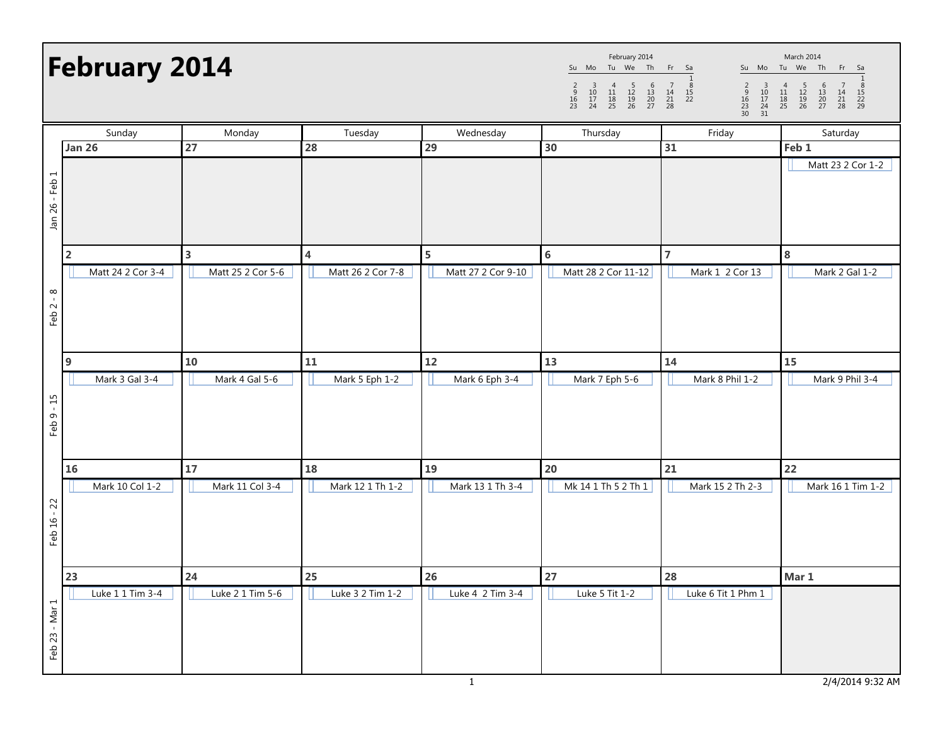## February 2014

Su Mo Tu We Th Fr Sa 1 <sup>2</sup> <sup>3</sup> <sup>4</sup> <sup>5</sup> <sup>6</sup> <sup>7</sup> <sup>8</sup> <sup>9</sup> <sup>10</sup> <sup>11</sup> <sup>12</sup> <sup>13</sup> <sup>14</sup> <sup>15</sup> <sup>16</sup> <sup>17</sup> <sup>18</sup> <sup>19</sup> <sup>20</sup> <sup>21</sup> <sup>22</sup> <sup>23</sup> <sup>24</sup> <sup>25</sup> <sup>26</sup> <sup>27</sup> <sup>28</sup> February 2014

Su Mo Tu We Th Fr Sa 1 <sup>2</sup> <sup>3</sup> <sup>4</sup> <sup>5</sup> <sup>6</sup> <sup>7</sup> <sup>8</sup> <sup>9</sup> <sup>10</sup> <sup>11</sup> <sup>12</sup> <sup>13</sup> <sup>14</sup> <sup>15</sup> <sup>16</sup> <sup>17</sup> <sup>18</sup> <sup>19</sup> <sup>20</sup> <sup>21</sup> <sup>22</sup> <sup>23</sup> <sup>24</sup> <sup>25</sup> <sup>26</sup> <sup>27</sup> <sup>28</sup> <sup>29</sup> <sup>30</sup> <sup>31</sup> March 2014

|                | Sunday            | Monday            | Tuesday           | Wednesday          | Thursday            | Friday             | Saturday          |
|----------------|-------------------|-------------------|-------------------|--------------------|---------------------|--------------------|-------------------|
|                | <b>Jan 26</b>     | 27                | 28                | 29                 | 30                  | 31                 | Feb <sub>1</sub>  |
| Jan 26 - Feb 1 |                   |                   |                   |                    |                     |                    | Matt 23 2 Cor 1-2 |
|                | $\overline{2}$    | 3                 | 4                 | 5                  | $\bf 6$             | $\overline{7}$     | 8                 |
|                | Matt 24 2 Cor 3-4 | Matt 25 2 Cor 5-6 | Matt 26 2 Cor 7-8 | Matt 27 2 Cor 9-10 | Matt 28 2 Cor 11-12 | Mark 1 2 Cor 13    | Mark 2 Gal 1-2    |
| Feb $2 - 8$    |                   |                   |                   |                    |                     |                    |                   |
|                | 9                 | 10                | ${\bf 11}$        | $12$               | 13                  | 14                 | 15                |
|                | Mark 3 Gal 3-4    | Mark 4 Gal 5-6    | Mark 5 Eph 1-2    | Mark 6 Eph 3-4     | Mark 7 Eph 5-6      | Mark 8 Phil 1-2    | Mark 9 Phil 3-4   |
| Feb 9 - 15     |                   |                   |                   |                    |                     |                    |                   |
|                | 16                | 17                | 18                | 19                 | 20                  | 21                 | 22                |
| Feb 16 - 22    | Mark 10 Col 1-2   | Mark 11 Col 3-4   | Mark 12 1 Th 1-2  | Mark 13 1 Th 3-4   | Mk 14 1 Th 5 2 Th 1 | Mark 15 2 Th 2-3   | Mark 16 1 Tim 1-2 |
|                | 23                | 24                | 25                | 26                 | 27                  | 28                 | Mar 1             |
| Feb 23 - Mar 1 | Luke 1 1 Tim 3-4  | Luke 2 1 Tim 5-6  | Luke 3 2 Tim 1-2  | Luke 4 2 Tim 3-4   | Luke 5 Tit 1-2      | Luke 6 Tit 1 Phm 1 |                   |